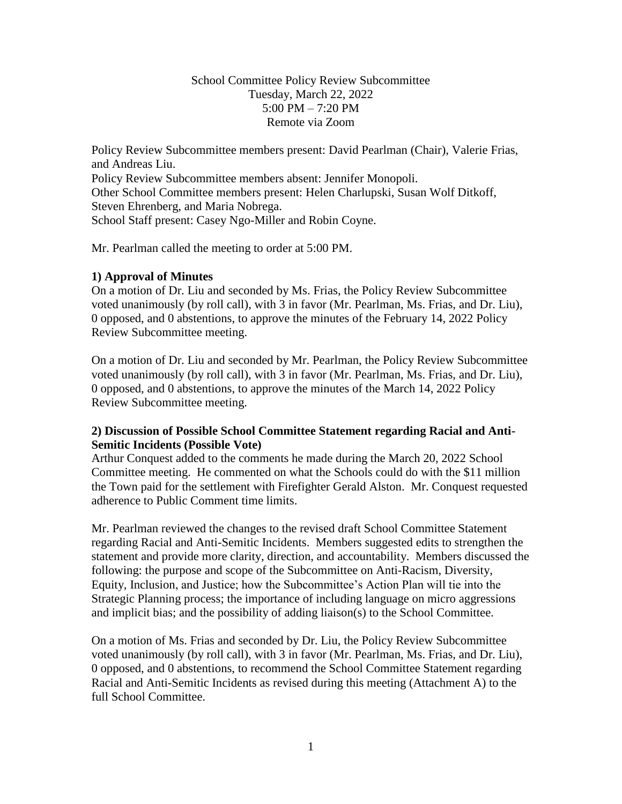School Committee Policy Review Subcommittee Tuesday, March 22, 2022 5:00 PM  $- 7:20$  PM Remote via Zoom

Policy Review Subcommittee members present: David Pearlman (Chair), Valerie Frias, and Andreas Liu.

Policy Review Subcommittee members absent: Jennifer Monopoli. Other School Committee members present: Helen Charlupski, Susan Wolf Ditkoff, Steven Ehrenberg, and Maria Nobrega. School Staff present: Casey Ngo-Miller and Robin Coyne.

Mr. Pearlman called the meeting to order at 5:00 PM.

## **1) Approval of Minutes**

On a motion of Dr. Liu and seconded by Ms. Frias, the Policy Review Subcommittee voted unanimously (by roll call), with 3 in favor (Mr. Pearlman, Ms. Frias, and Dr. Liu), 0 opposed, and 0 abstentions, to approve the minutes of the February 14, 2022 Policy Review Subcommittee meeting.

On a motion of Dr. Liu and seconded by Mr. Pearlman, the Policy Review Subcommittee voted unanimously (by roll call), with 3 in favor (Mr. Pearlman, Ms. Frias, and Dr. Liu), 0 opposed, and 0 abstentions, to approve the minutes of the March 14, 2022 Policy Review Subcommittee meeting.

## **2) Discussion of Possible School Committee Statement regarding Racial and Anti-Semitic Incidents (Possible Vote)**

Arthur Conquest added to the comments he made during the March 20, 2022 School Committee meeting. He commented on what the Schools could do with the \$11 million the Town paid for the settlement with Firefighter Gerald Alston. Mr. Conquest requested adherence to Public Comment time limits.

Mr. Pearlman reviewed the changes to the revised draft School Committee Statement regarding Racial and Anti-Semitic Incidents. Members suggested edits to strengthen the statement and provide more clarity, direction, and accountability. Members discussed the following: the purpose and scope of the Subcommittee on Anti-Racism, Diversity, Equity, Inclusion, and Justice; how the Subcommittee's Action Plan will tie into the Strategic Planning process; the importance of including language on micro aggressions and implicit bias; and the possibility of adding liaison(s) to the School Committee.

On a motion of Ms. Frias and seconded by Dr. Liu, the Policy Review Subcommittee voted unanimously (by roll call), with 3 in favor (Mr. Pearlman, Ms. Frias, and Dr. Liu), 0 opposed, and 0 abstentions, to recommend the School Committee Statement regarding Racial and Anti-Semitic Incidents as revised during this meeting (Attachment A) to the full School Committee.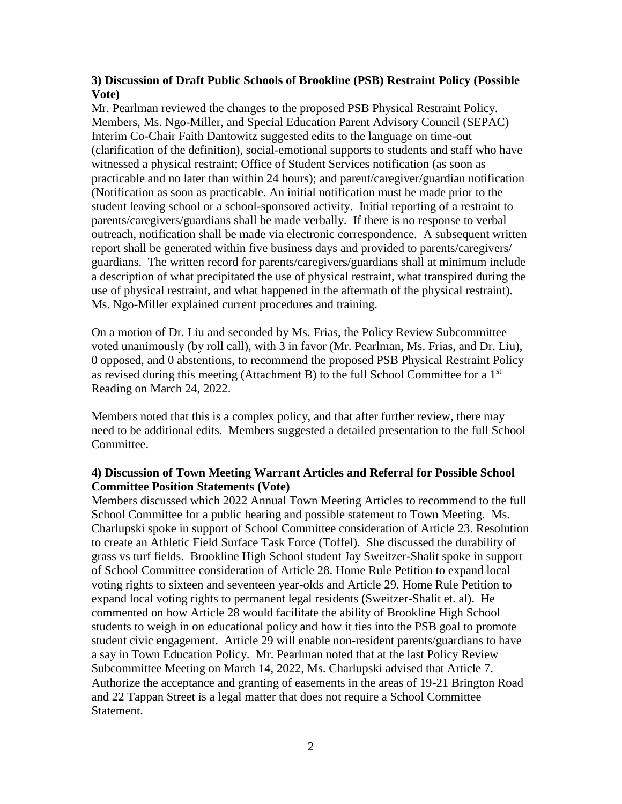### **3) Discussion of Draft Public Schools of Brookline (PSB) Restraint Policy (Possible Vote)**

Mr. Pearlman reviewed the changes to the proposed PSB Physical Restraint Policy. Members, Ms. Ngo-Miller, and Special Education Parent Advisory Council (SEPAC) Interim Co-Chair Faith Dantowitz suggested edits to the language on time-out (clarification of the definition), social-emotional supports to students and staff who have witnessed a physical restraint; Office of Student Services notification (as soon as practicable and no later than within 24 hours); and parent/caregiver/guardian notification (Notification as soon as practicable. An initial notification must be made prior to the student leaving school or a school-sponsored activity. Initial reporting of a restraint to parents/caregivers/guardians shall be made verbally. If there is no response to verbal outreach, notification shall be made via electronic correspondence. A subsequent written report shall be generated within five business days and provided to parents/caregivers/ guardians. The written record for parents/caregivers/guardians shall at minimum include a description of what precipitated the use of physical restraint, what transpired during the use of physical restraint, and what happened in the aftermath of the physical restraint). Ms. Ngo-Miller explained current procedures and training.

On a motion of Dr. Liu and seconded by Ms. Frias, the Policy Review Subcommittee voted unanimously (by roll call), with 3 in favor (Mr. Pearlman, Ms. Frias, and Dr. Liu), 0 opposed, and 0 abstentions, to recommend the proposed PSB Physical Restraint Policy as revised during this meeting (Attachment B) to the full School Committee for a  $1<sup>st</sup>$ Reading on March 24, 2022.

Members noted that this is a complex policy, and that after further review, there may need to be additional edits. Members suggested a detailed presentation to the full School Committee.

### **4) Discussion of Town Meeting Warrant Articles and Referral for Possible School Committee Position Statements (Vote)**

Members discussed which 2022 Annual Town Meeting Articles to recommend to the full School Committee for a public hearing and possible statement to Town Meeting. Ms. Charlupski spoke in support of School Committee consideration of Article 23. Resolution to create an Athletic Field Surface Task Force (Toffel). She discussed the durability of grass vs turf fields. Brookline High School student Jay Sweitzer-Shalit spoke in support of School Committee consideration of Article 28. Home Rule Petition to expand local voting rights to sixteen and seventeen year-olds and Article 29. Home Rule Petition to expand local voting rights to permanent legal residents (Sweitzer-Shalit et. al). He commented on how Article 28 would facilitate the ability of Brookline High School students to weigh in on educational policy and how it ties into the PSB goal to promote student civic engagement. Article 29 will enable non-resident parents/guardians to have a say in Town Education Policy. Mr. Pearlman noted that at the last Policy Review Subcommittee Meeting on March 14, 2022, Ms. Charlupski advised that Article 7. Authorize the acceptance and granting of easements in the areas of 19-21 Brington Road and 22 Tappan Street is a legal matter that does not require a School Committee Statement.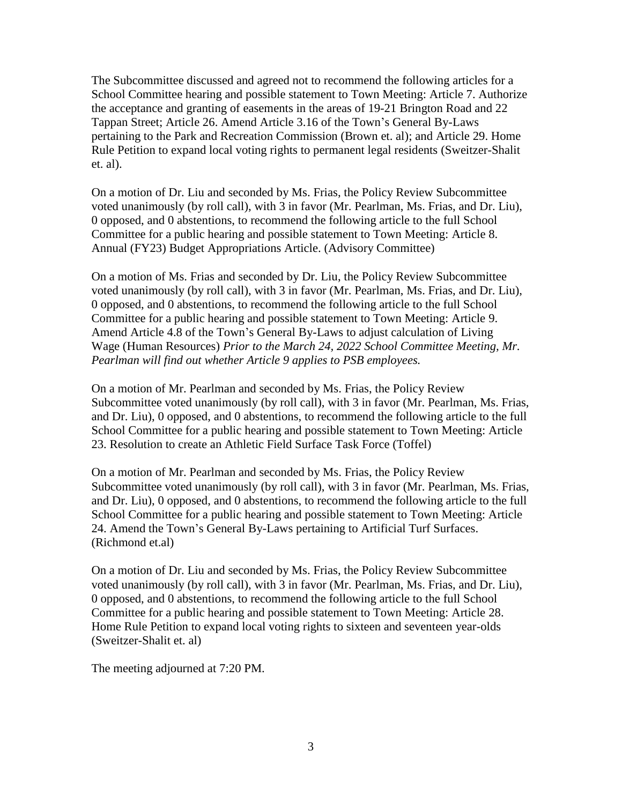The Subcommittee discussed and agreed not to recommend the following articles for a School Committee hearing and possible statement to Town Meeting: Article 7. Authorize the acceptance and granting of easements in the areas of 19-21 Brington Road and 22 Tappan Street; Article 26. Amend Article 3.16 of the Town's General By-Laws pertaining to the Park and Recreation Commission (Brown et. al); and Article 29. Home Rule Petition to expand local voting rights to permanent legal residents (Sweitzer-Shalit et. al).

On a motion of Dr. Liu and seconded by Ms. Frias, the Policy Review Subcommittee voted unanimously (by roll call), with 3 in favor (Mr. Pearlman, Ms. Frias, and Dr. Liu), 0 opposed, and 0 abstentions, to recommend the following article to the full School Committee for a public hearing and possible statement to Town Meeting: Article 8. Annual (FY23) Budget Appropriations Article. (Advisory Committee)

On a motion of Ms. Frias and seconded by Dr. Liu, the Policy Review Subcommittee voted unanimously (by roll call), with 3 in favor (Mr. Pearlman, Ms. Frias, and Dr. Liu), 0 opposed, and 0 abstentions, to recommend the following article to the full School Committee for a public hearing and possible statement to Town Meeting: Article 9. Amend Article 4.8 of the Town's General By-Laws to adjust calculation of Living Wage (Human Resources) *Prior to the March 24, 2022 School Committee Meeting, Mr. Pearlman will find out whether Article 9 applies to PSB employees.*

On a motion of Mr. Pearlman and seconded by Ms. Frias, the Policy Review Subcommittee voted unanimously (by roll call), with 3 in favor (Mr. Pearlman, Ms. Frias, and Dr. Liu), 0 opposed, and 0 abstentions, to recommend the following article to the full School Committee for a public hearing and possible statement to Town Meeting: Article 23. Resolution to create an Athletic Field Surface Task Force (Toffel)

On a motion of Mr. Pearlman and seconded by Ms. Frias, the Policy Review Subcommittee voted unanimously (by roll call), with 3 in favor (Mr. Pearlman, Ms. Frias, and Dr. Liu), 0 opposed, and 0 abstentions, to recommend the following article to the full School Committee for a public hearing and possible statement to Town Meeting: Article 24. Amend the Town's General By-Laws pertaining to Artificial Turf Surfaces. (Richmond et.al)

On a motion of Dr. Liu and seconded by Ms. Frias, the Policy Review Subcommittee voted unanimously (by roll call), with 3 in favor (Mr. Pearlman, Ms. Frias, and Dr. Liu), 0 opposed, and 0 abstentions, to recommend the following article to the full School Committee for a public hearing and possible statement to Town Meeting: Article 28. Home Rule Petition to expand local voting rights to sixteen and seventeen year-olds (Sweitzer-Shalit et. al)

The meeting adjourned at 7:20 PM.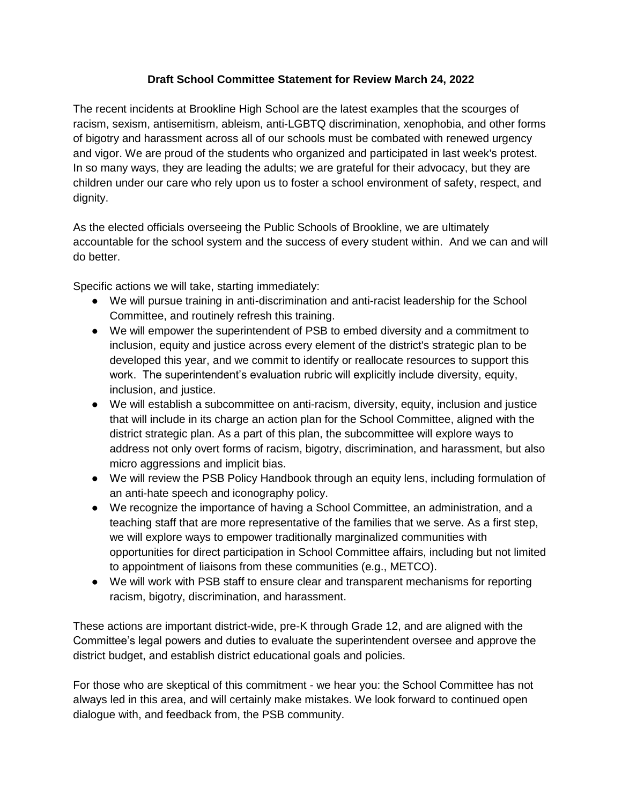## **Draft School Committee Statement for Review March 24, 2022**

The recent incidents at Brookline High School are the latest examples that the scourges of racism, sexism, antisemitism, ableism, anti-LGBTQ discrimination, xenophobia, and other forms of bigotry and harassment across all of our schools must be combated with renewed urgency and vigor. We are proud of the students who organized and participated in last week's protest. In so many ways, they are leading the adults; we are grateful for their advocacy, but they are children under our care who rely upon us to foster a school environment of safety, respect, and dignity.

As the elected officials overseeing the Public Schools of Brookline, we are ultimately accountable for the school system and the success of every student within. And we can and will do better.

Specific actions we will take, starting immediately:

- We will pursue training in anti-discrimination and anti-racist leadership for the School Committee, and routinely refresh this training.
- We will empower the superintendent of PSB to embed diversity and a commitment to inclusion, equity and justice across every element of the district's strategic plan to be developed this year, and we commit to identify or reallocate resources to support this work. The superintendent's evaluation rubric will explicitly include diversity, equity, inclusion, and justice.
- We will establish a subcommittee on anti-racism, diversity, equity, inclusion and justice that will include in its charge an action plan for the School Committee, aligned with the district strategic plan. As a part of this plan, the subcommittee will explore ways to address not only overt forms of racism, bigotry, discrimination, and harassment, but also micro aggressions and implicit bias.
- We will review the PSB Policy Handbook through an equity lens, including formulation of an anti-hate speech and iconography policy.
- We recognize the importance of having a School Committee, an administration, and a teaching staff that are more representative of the families that we serve. As a first step, we will explore ways to empower traditionally marginalized communities with opportunities for direct participation in School Committee affairs, including but not limited to appointment of liaisons from these communities (e.g., METCO).
- We will work with PSB staff to ensure clear and transparent mechanisms for reporting racism, bigotry, discrimination, and harassment.

These actions are important district-wide, pre-K through Grade 12, and are aligned with the Committee's legal powers and duties to evaluate the superintendent oversee and approve the district budget, and establish district educational goals and policies.

For those who are skeptical of this commitment - we hear you: the School Committee has not always led in this area, and will certainly make mistakes. We look forward to continued open dialogue with, and feedback from, the PSB community.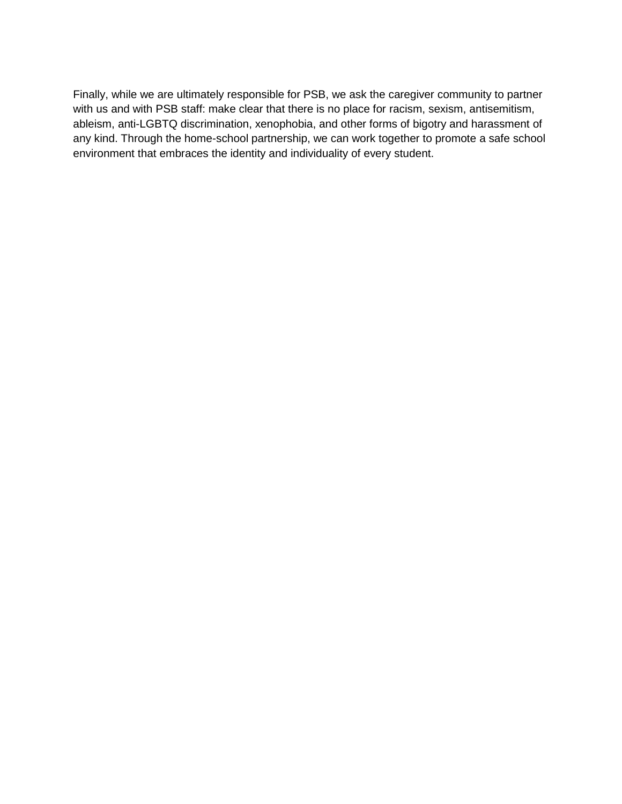Finally, while we are ultimately responsible for PSB, we ask the caregiver community to partner with us and with PSB staff: make clear that there is no place for racism, sexism, antisemitism, ableism, anti-LGBTQ discrimination, xenophobia, and other forms of bigotry and harassment of any kind. Through the home-school partnership, we can work together to promote a safe school environment that embraces the identity and individuality of every student.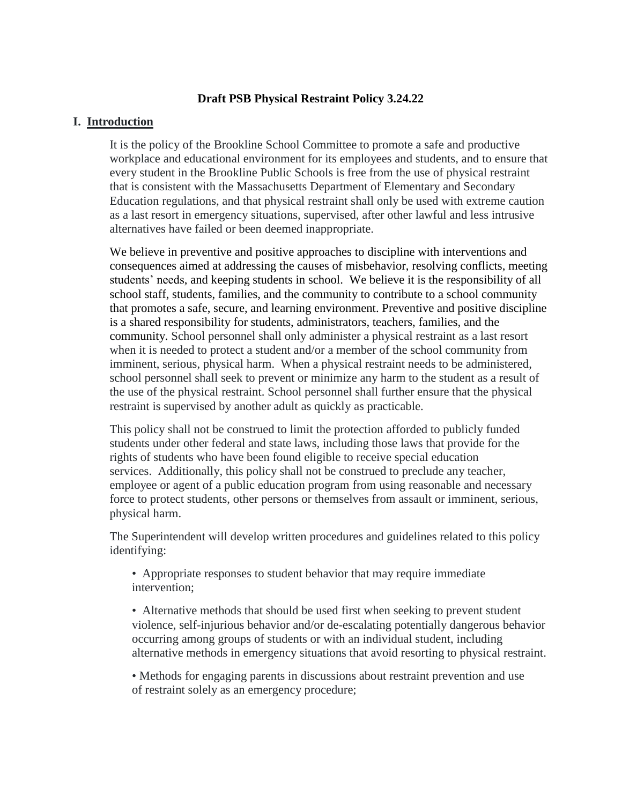#### **Draft PSB Physical Restraint Policy 3.24.22**

#### **I. Introduction**

It is the policy of the Brookline School Committee to promote a safe and productive workplace and educational environment for its employees and students, and to ensure that every student in the Brookline Public Schools is free from the use of physical restraint that is consistent with the Massachusetts Department of Elementary and Secondary Education regulations, and that physical restraint shall only be used with extreme caution as a last resort in emergency situations, supervised, after other lawful and less intrusive alternatives have failed or been deemed inappropriate.

We believe in preventive and positive approaches to discipline with interventions and consequences aimed at addressing the causes of misbehavior, resolving conflicts, meeting students' needs, and keeping students in school. We believe it is the responsibility of all school staff, students, families, and the community to contribute to a school community that promotes a safe, secure, and learning environment. Preventive and positive discipline is a shared responsibility for students, administrators, teachers, families, and the community. School personnel shall only administer a physical restraint as a last resort when it is needed to protect a student and/or a member of the school community from imminent, serious, physical harm. When a physical restraint needs to be administered, school personnel shall seek to prevent or minimize any harm to the student as a result of the use of the physical restraint. School personnel shall further ensure that the physical restraint is supervised by another adult as quickly as practicable.

This policy shall not be construed to limit the protection afforded to publicly funded students under other federal and state laws, including those laws that provide for the rights of students who have been found eligible to receive special education services. Additionally, this policy shall not be construed to preclude any teacher, employee or agent of a public education program from using reasonable and necessary force to protect students, other persons or themselves from assault or imminent, serious, physical harm.

The Superintendent will develop written procedures and guidelines related to this policy identifying:

• Appropriate responses to student behavior that may require immediate intervention;

• Alternative methods that should be used first when seeking to prevent student violence, self-injurious behavior and/or de-escalating potentially dangerous behavior occurring among groups of students or with an individual student, including alternative methods in emergency situations that avoid resorting to physical restraint.

• Methods for engaging parents in discussions about restraint prevention and use of restraint solely as an emergency procedure;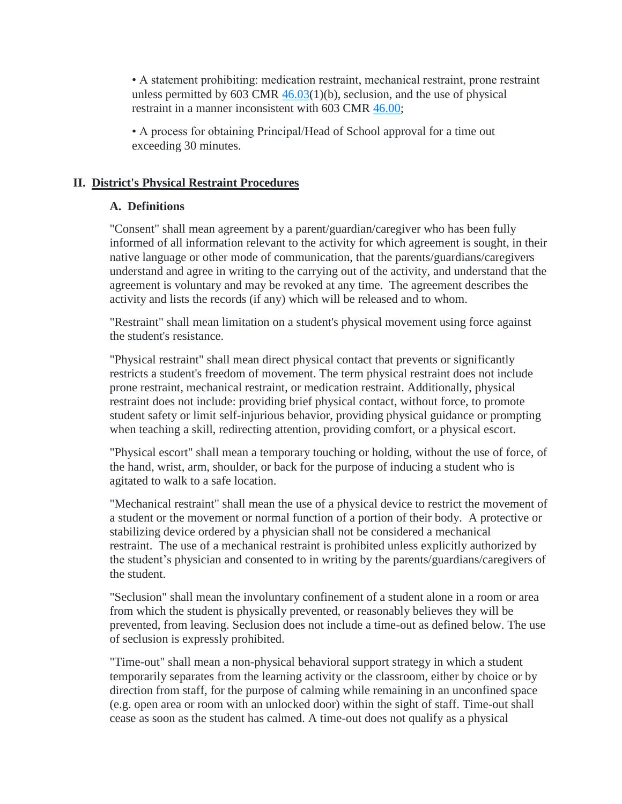• A statement prohibiting: medication restraint, mechanical restraint, prone restraint unless permitted by 603 CMR  $46.03(1)(b)$ , seclusion, and the use of physical restraint in a manner inconsistent with 603 CMR 46.00;

• A process for obtaining Principal/Head of School approval for a time out exceeding 30 minutes.

## **II. District's Physical Restraint Procedures**

# **A. Definitions**

"Consent" shall mean agreement by a parent/guardian/caregiver who has been fully informed of all information relevant to the activity for which agreement is sought, in their native language or other mode of communication, that the parents/guardians/caregivers understand and agree in writing to the carrying out of the activity, and understand that the agreement is voluntary and may be revoked at any time. The agreement describes the activity and lists the records (if any) which will be released and to whom.

"Restraint" shall mean limitation on a student's physical movement using force against the student's resistance.

"Physical restraint" shall mean direct physical contact that prevents or significantly restricts a student's freedom of movement. The term physical restraint does not include prone restraint, mechanical restraint, or medication restraint. Additionally, physical restraint does not include: providing brief physical contact, without force, to promote student safety or limit self-injurious behavior, providing physical guidance or prompting when teaching a skill, redirecting attention, providing comfort, or a physical escort.

"Physical escort" shall mean a temporary touching or holding, without the use of force, of the hand, wrist, arm, shoulder, or back for the purpose of inducing a student who is agitated to walk to a safe location.

"Mechanical restraint" shall mean the use of a physical device to restrict the movement of a student or the movement or normal function of a portion of their body. A protective or stabilizing device ordered by a physician shall not be considered a mechanical restraint. The use of a mechanical restraint is prohibited unless explicitly authorized by the student's physician and consented to in writing by the parents/guardians/caregivers of the student.

"Seclusion" shall mean the involuntary confinement of a student alone in a room or area from which the student is physically prevented, or reasonably believes they will be prevented, from leaving. Seclusion does not include a time-out as defined below. The use of seclusion is expressly prohibited.

"Time-out" shall mean a non-physical behavioral support strategy in which a student temporarily separates from the learning activity or the classroom, either by choice or by direction from staff, for the purpose of calming while remaining in an unconfined space (e.g. open area or room with an unlocked door) within the sight of staff. Time-out shall cease as soon as the student has calmed. A time-out does not qualify as a physical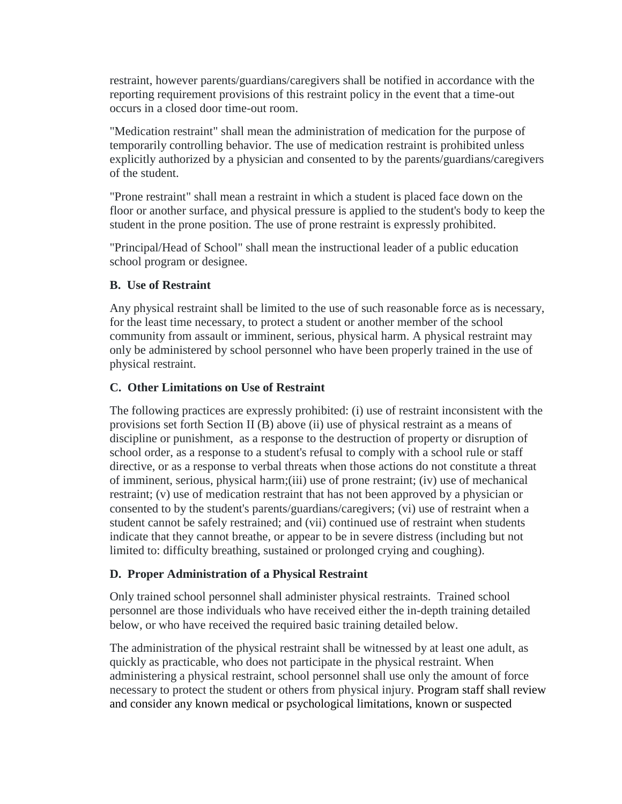restraint, however parents/guardians/caregivers shall be notified in accordance with the reporting requirement provisions of this restraint policy in the event that a time-out occurs in a closed door time-out room.

"Medication restraint" shall mean the administration of medication for the purpose of temporarily controlling behavior. The use of medication restraint is prohibited unless explicitly authorized by a physician and consented to by the parents/guardians/caregivers of the student.

"Prone restraint" shall mean a restraint in which a student is placed face down on the floor or another surface, and physical pressure is applied to the student's body to keep the student in the prone position. The use of prone restraint is expressly prohibited.

"Principal/Head of School" shall mean the instructional leader of a public education school program or designee.

## **B. Use of Restraint**

Any physical restraint shall be limited to the use of such reasonable force as is necessary, for the least time necessary, to protect a student or another member of the school community from assault or imminent, serious, physical harm. A physical restraint may only be administered by school personnel who have been properly trained in the use of physical restraint.

# **C. Other Limitations on Use of Restraint**

The following practices are expressly prohibited: (i) use of restraint inconsistent with the provisions set forth Section II (B) above (ii) use of physical restraint as a means of discipline or punishment, as a response to the destruction of property or disruption of school order, as a response to a student's refusal to comply with a school rule or staff directive, or as a response to verbal threats when those actions do not constitute a threat of imminent, serious, physical harm;(iii) use of prone restraint; (iv) use of mechanical restraint; (v) use of medication restraint that has not been approved by a physician or consented to by the student's parents/guardians/caregivers; (vi) use of restraint when a student cannot be safely restrained; and (vii) continued use of restraint when students indicate that they cannot breathe, or appear to be in severe distress (including but not limited to: difficulty breathing, sustained or prolonged crying and coughing).

# **D. Proper Administration of a Physical Restraint**

Only trained school personnel shall administer physical restraints. Trained school personnel are those individuals who have received either the in-depth training detailed below, or who have received the required basic training detailed below.

The administration of the physical restraint shall be witnessed by at least one adult, as quickly as practicable, who does not participate in the physical restraint. When administering a physical restraint, school personnel shall use only the amount of force necessary to protect the student or others from physical injury. Program staff shall review and consider any known medical or psychological limitations, known or suspected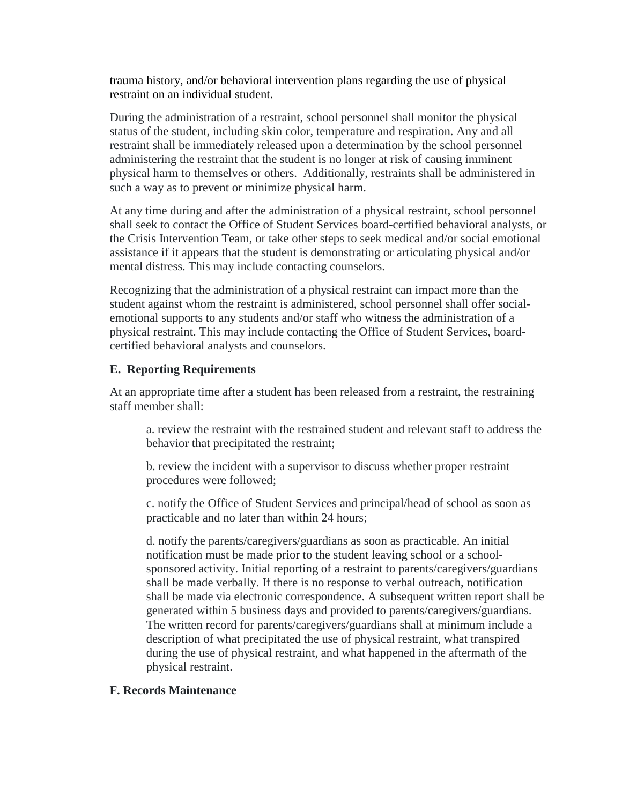trauma history, and/or behavioral intervention plans regarding the use of physical restraint on an individual student.

During the administration of a restraint, school personnel shall monitor the physical status of the student, including skin color, temperature and respiration. Any and all restraint shall be immediately released upon a determination by the school personnel administering the restraint that the student is no longer at risk of causing imminent physical harm to themselves or others. Additionally, restraints shall be administered in such a way as to prevent or minimize physical harm.

At any time during and after the administration of a physical restraint, school personnel shall seek to contact the Office of Student Services board-certified behavioral analysts, or the Crisis Intervention Team, or take other steps to seek medical and/or social emotional assistance if it appears that the student is demonstrating or articulating physical and/or mental distress. This may include contacting counselors.

Recognizing that the administration of a physical restraint can impact more than the student against whom the restraint is administered, school personnel shall offer socialemotional supports to any students and/or staff who witness the administration of a physical restraint. This may include contacting the Office of Student Services, boardcertified behavioral analysts and counselors.

### **E. Reporting Requirements**

At an appropriate time after a student has been released from a restraint, the restraining staff member shall:

a. review the restraint with the restrained student and relevant staff to address the behavior that precipitated the restraint;

b. review the incident with a supervisor to discuss whether proper restraint procedures were followed;

c. notify the Office of Student Services and principal/head of school as soon as practicable and no later than within 24 hours;

d. notify the parents/caregivers/guardians as soon as practicable. An initial notification must be made prior to the student leaving school or a schoolsponsored activity. Initial reporting of a restraint to parents/caregivers/guardians shall be made verbally. If there is no response to verbal outreach, notification shall be made via electronic correspondence. A subsequent written report shall be generated within 5 business days and provided to parents/caregivers/guardians. The written record for parents/caregivers/guardians shall at minimum include a description of what precipitated the use of physical restraint, what transpired during the use of physical restraint, and what happened in the aftermath of the physical restraint.

#### **F. Records Maintenance**